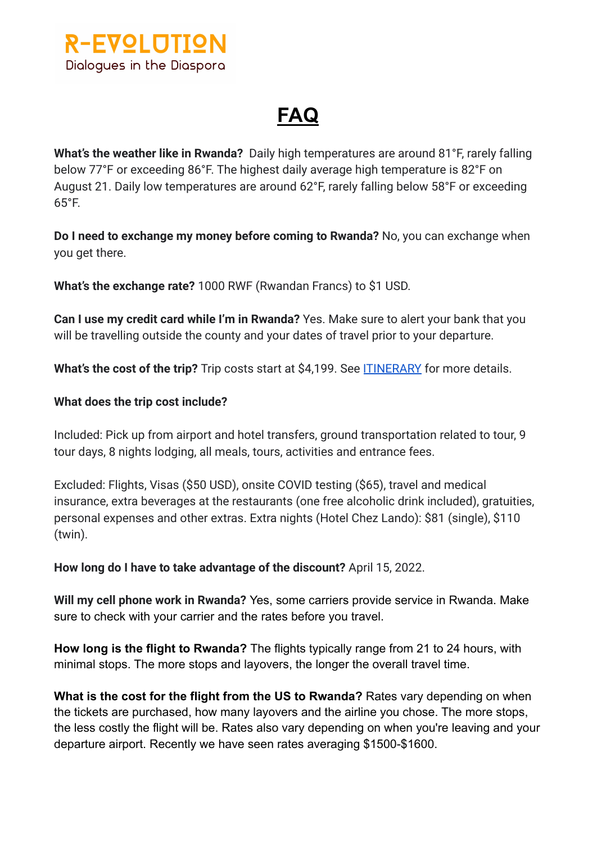**R-EVOLUTION** Dialogues in the Diaspora

## **FAQ**

**What's the weather like in Rwanda?** Daily high temperatures are around 81°F, rarely falling below 77°F or exceeding 86°F. The highest daily average high temperature is 82°F on August 21. Daily low temperatures are around 62°F, rarely falling below 58°F or exceeding 65°F.

**Do I need to exchange my money before coming to Rwanda?** No, you can exchange when you get there.

**What's the exchange rate?** 1000 RWF (Rwandan Francs) to \$1 USD.

**Can I use my credit card while I'm in Rwanda?** Yes. Make sure to alert your bank that you will be travelling outside the county and your dates of travel prior to your departure.

What's the cost of the trip? Trip costs start at \$4,199. See **[ITINERARY](https://travefy.com/trip/6yw9rqyxjwkwqz2a4fyse2tv8rswrma?d=20595398)** for more details.

## **What does the trip cost include?**

Included: Pick up from airport and hotel transfers, ground transportation related to tour, 9 tour days, 8 nights lodging, all meals, tours, activities and entrance fees.

Excluded: Flights, Visas (\$50 USD), onsite COVID testing (\$65), travel and medical insurance, extra beverages at the restaurants (one free alcoholic drink included), gratuities, personal expenses and other extras. Extra nights (Hotel Chez Lando): \$81 (single), \$110 (twin).

**How long do I have to take advantage of the discount?** April 15, 2022.

**Will my cell phone work in Rwanda?** Yes, some carriers provide service in Rwanda. Make sure to check with your carrier and the rates before you travel.

**How long is the flight to Rwanda?** The flights typically range from 21 to 24 hours, with minimal stops. The more stops and layovers, the longer the overall travel time.

**What is the cost for the flight from the US to Rwanda?** Rates vary depending on when the tickets are purchased, how many layovers and the airline you chose. The more stops, the less costly the flight will be. Rates also vary depending on when you're leaving and your departure airport. Recently we have seen rates averaging \$1500-\$1600.